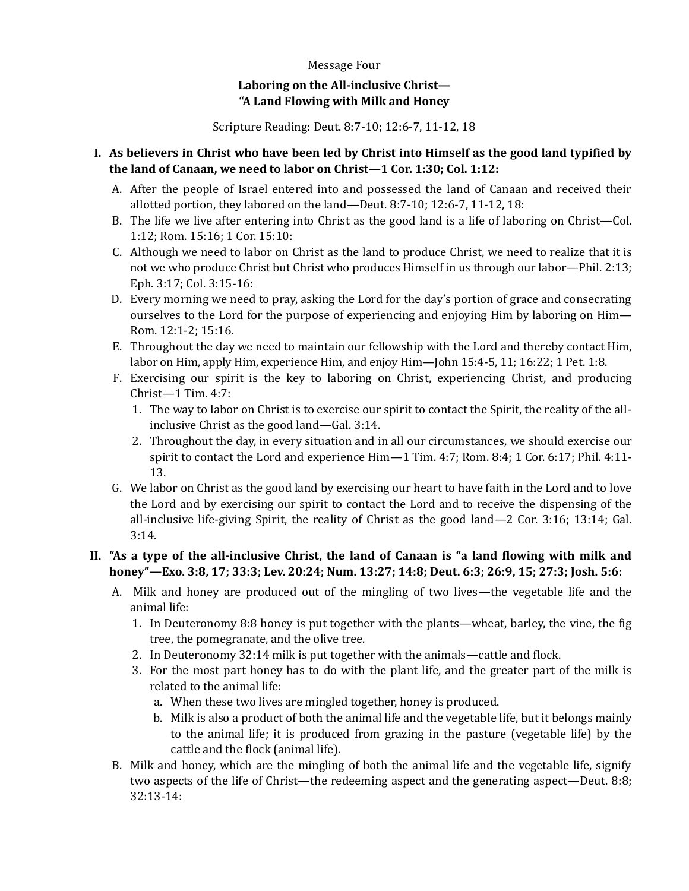## Message Four

## **Laboring on the All-inclusive Christ— "A Land Flowing with Milk and Honey**

Scripture Reading: Deut. 8:7-10; 12:6-7, 11-12, 18

## **I. As believers in Christ who have been led by Christ into Himself as the good land typified by the land of Canaan, we need to labor on Christ—1 Cor. 1:30; Col. 1:12:**

- A. After the people of Israel entered into and possessed the land of Canaan and received their allotted portion, they labored on the land—Deut. 8:7-10; 12:6-7, 11-12, 18:
- B. The life we live after entering into Christ as the good land is a life of laboring on Christ—Col. 1:12; Rom. 15:16; 1 Cor. 15:10:
- C. Although we need to labor on Christ as the land to produce Christ, we need to realize that it is not we who produce Christ but Christ who produces Himself in us through our labor—Phil. 2:13; Eph. 3:17; Col. 3:15-16:
- D. Every morning we need to pray, asking the Lord for the day's portion of grace and consecrating ourselves to the Lord for the purpose of experiencing and enjoying Him by laboring on Him— Rom. 12:1-2; 15:16.
- E. Throughout the day we need to maintain our fellowship with the Lord and thereby contact Him, labor on Him, apply Him, experience Him, and enjoy Him—John 15:4-5, 11; 16:22; 1 Pet. 1:8.
- F. Exercising our spirit is the key to laboring on Christ, experiencing Christ, and producing Christ—1 Tim. 4:7:
	- 1. The way to labor on Christ is to exercise our spirit to contact the Spirit, the reality of the allinclusive Christ as the good land—Gal. 3:14.
	- 2. Throughout the day, in every situation and in all our circumstances, we should exercise our spirit to contact the Lord and experience Him—1 Tim. 4:7; Rom. 8:4; 1 Cor. 6:17; Phil. 4:11- 13.
- G. We labor on Christ as the good land by exercising our heart to have faith in the Lord and to love the Lord and by exercising our spirit to contact the Lord and to receive the dispensing of the all-inclusive life-giving Spirit, the reality of Christ as the good land—2 Cor. 3:16; 13:14; Gal. 3:14.

## **II. "As a type of the all-inclusive Christ, the land of Canaan is "a land flowing with milk and honey"—Exo. 3:8, 17; 33:3; Lev. 20:24; Num. 13:27; 14:8; Deut. 6:3; 26:9, 15; 27:3; Josh. 5:6:**

- A. Milk and honey are produced out of the mingling of two lives—the vegetable life and the animal life:
	- 1. In Deuteronomy 8:8 honey is put together with the plants—wheat, barley, the vine, the fig tree, the pomegranate, and the olive tree.
	- 2. In Deuteronomy 32:14 milk is put together with the animals—cattle and flock.
	- 3. For the most part honey has to do with the plant life, and the greater part of the milk is related to the animal life:
		- a. When these two lives are mingled together, honey is produced.
		- b. Milk is also a product of both the animal life and the vegetable life, but it belongs mainly to the animal life; it is produced from grazing in the pasture (vegetable life) by the cattle and the flock (animal life).
- B. Milk and honey, which are the mingling of both the animal life and the vegetable life, signify two aspects of the life of Christ—the redeeming aspect and the generating aspect—Deut. 8:8; 32:13-14: